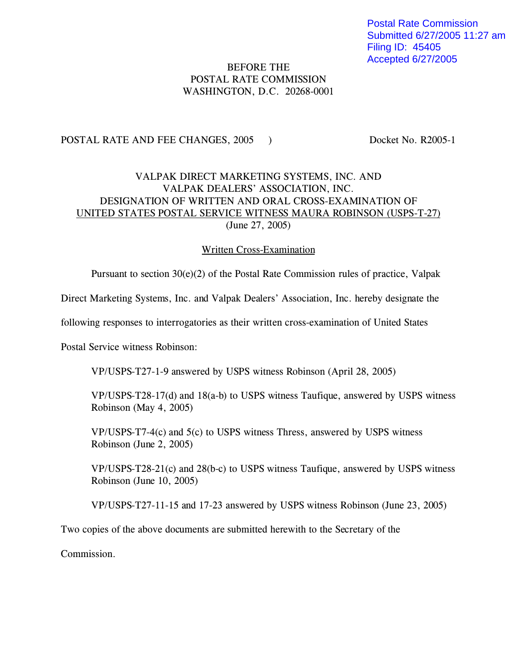Postal Rate Commission Submitted 6/27/2005 11:27 am Filing ID: 45405 Accepted 6/27/2005

# BEFORE THE POSTAL RATE COMMISSION WASHINGTON, D.C. 20268-0001

## POSTAL RATE AND FEE CHANGES, 2005 ) Docket No. R2005-1

# VALPAK DIRECT MARKETING SYSTEMS, INC. AND VALPAK DEALERS' ASSOCIATION, INC. DESIGNATION OF WRITTEN AND ORAL CROSS-EXAMINATION OF UNITED STATES POSTAL SERVICE WITNESS MAURA ROBINSON (USPS-T-27) (June 27, 2005)

### Written Cross-Examination

Pursuant to section 30(e)(2) of the Postal Rate Commission rules of practice, Valpak

Direct Marketing Systems, Inc. and Valpak Dealers' Association, Inc. hereby designate the

following responses to interrogatories as their written cross-examination of United States

Postal Service witness Robinson:

VP/USPS-T27-1-9 answered by USPS witness Robinson (April 28, 2005)

VP/USPS-T28-17(d) and 18(a-b) to USPS witness Taufique, answered by USPS witness Robinson (May 4, 2005)

VP/USPS-T7-4(c) and 5(c) to USPS witness Thress, answered by USPS witness Robinson (June 2, 2005)

VP/USPS-T28-21(c) and 28(b-c) to USPS witness Taufique, answered by USPS witness Robinson (June 10, 2005)

VP/USPS-T27-11-15 and 17-23 answered by USPS witness Robinson (June 23, 2005)

Two copies of the above documents are submitted herewith to the Secretary of the

Commission.